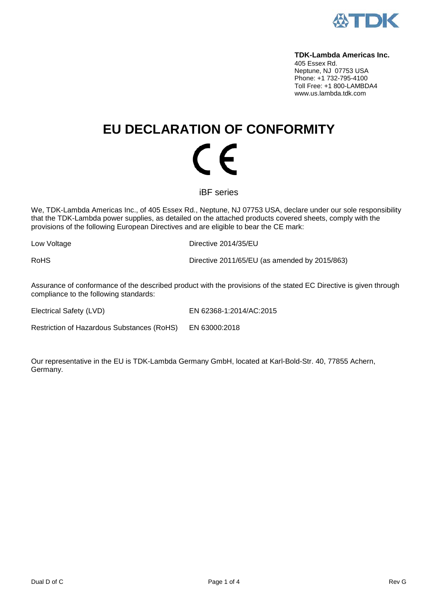

#### **TDK-Lambda Americas Inc.**

405 Essex Rd. Neptune, NJ 07753 USA Phone: +1 732-795-4100 Toll Free: +1 800-LAMBDA4 www.us.lambda.tdk.com

# **EU DECLARATION OF CONFORMITY** (  $\epsilon$

iBF series

We, TDK-Lambda Americas Inc., of 405 Essex Rd., Neptune, NJ 07753 USA, declare under our sole responsibility that the TDK-Lambda power supplies, as detailed on the attached products covered sheets, comply with the provisions of the following European Directives and are eligible to bear the CE mark:

Low Voltage **Directive 2014/35/EU** 

RoHS Directive 2011/65/EU (as amended by 2015/863)

Assurance of conformance of the described product with the provisions of the stated EC Directive is given through compliance to the following standards:

Electrical Safety (LVD) EN 62368-1:2014/AC:2015

Restriction of Hazardous Substances (RoHS) EN 63000:2018

Our representative in the EU is TDK-Lambda Germany GmbH, located at Karl-Bold-Str. 40, 77855 Achern, Germany.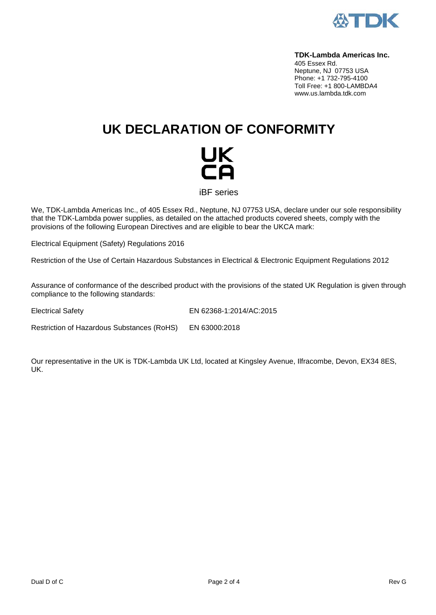

#### **TDK-Lambda Americas Inc.**

405 Essex Rd. Neptune, NJ 07753 USA Phone: +1 732-795-4100 Toll Free: +1 800-LAMBDA4 www.us.lambda.tdk.com

## **UK DECLARATION OF CONFORMITY**



iBF series

We, TDK-Lambda Americas Inc., of 405 Essex Rd., Neptune, NJ 07753 USA, declare under our sole responsibility that the TDK-Lambda power supplies, as detailed on the attached products covered sheets, comply with the provisions of the following European Directives and are eligible to bear the UKCA mark:

Electrical Equipment (Safety) Regulations 2016

Restriction of the Use of Certain Hazardous Substances in Electrical & Electronic Equipment Regulations 2012

Assurance of conformance of the described product with the provisions of the stated UK Regulation is given through compliance to the following standards:

Electrical Safety EN 62368-1:2014/AC:2015

Restriction of Hazardous Substances (RoHS) EN 63000:2018

Our representative in the UK is TDK-Lambda UK Ltd, located at Kingsley Avenue, Ilfracombe, Devon, EX34 8ES, UK.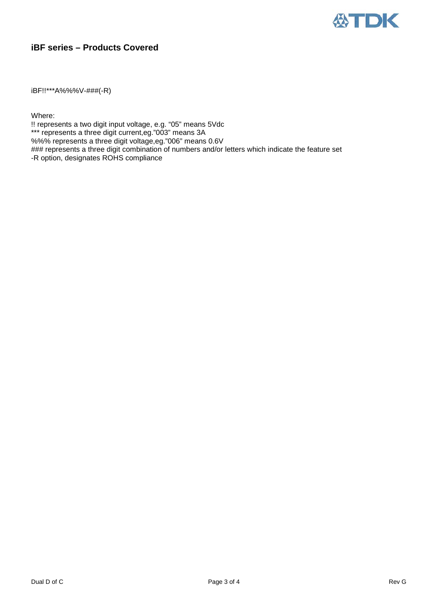

### **iBF series – Products Covered**

iBF!!\*\*\*A%%%V-###(-R)

Where:

!! represents a two digit input voltage, e.g. "05" means 5Vdc \*\*\* represents a three digit current,eg."003" means 3A %%% represents a three digit voltage,eg."006" means 0.6V ### represents a three digit combination of numbers and/or letters which indicate the feature set -R option, designates ROHS compliance